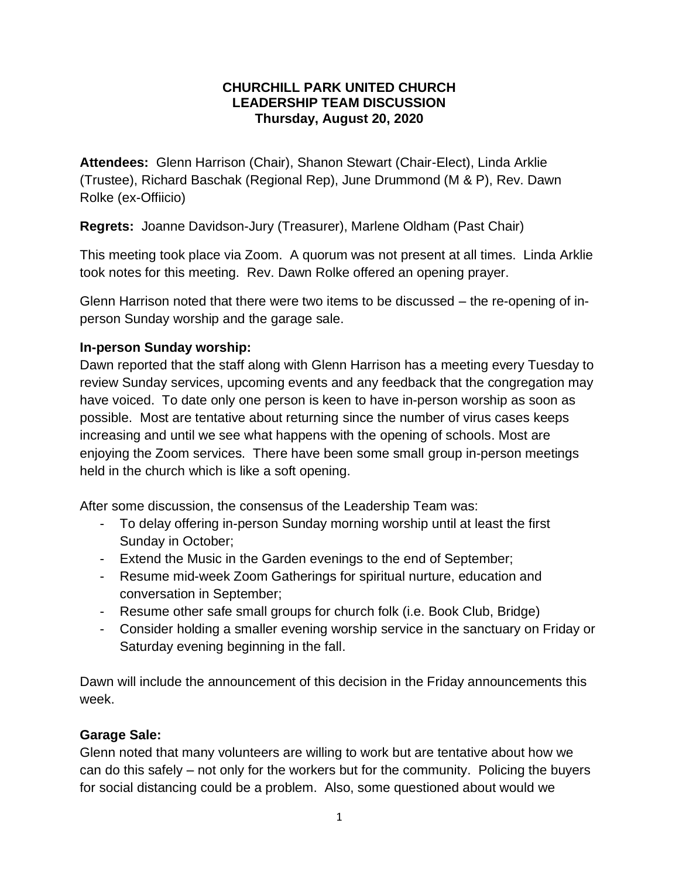## **CHURCHILL PARK UNITED CHURCH LEADERSHIP TEAM DISCUSSION Thursday, August 20, 2020**

**Attendees:** Glenn Harrison (Chair), Shanon Stewart (Chair-Elect), Linda Arklie (Trustee), Richard Baschak (Regional Rep), June Drummond (M & P), Rev. Dawn Rolke (ex-Offiicio)

**Regrets:** Joanne Davidson-Jury (Treasurer), Marlene Oldham (Past Chair)

This meeting took place via Zoom. A quorum was not present at all times. Linda Arklie took notes for this meeting. Rev. Dawn Rolke offered an opening prayer.

Glenn Harrison noted that there were two items to be discussed – the re-opening of inperson Sunday worship and the garage sale.

## **In-person Sunday worship:**

Dawn reported that the staff along with Glenn Harrison has a meeting every Tuesday to review Sunday services, upcoming events and any feedback that the congregation may have voiced. To date only one person is keen to have in-person worship as soon as possible. Most are tentative about returning since the number of virus cases keeps increasing and until we see what happens with the opening of schools. Most are enjoying the Zoom services. There have been some small group in-person meetings held in the church which is like a soft opening.

After some discussion, the consensus of the Leadership Team was:

- To delay offering in-person Sunday morning worship until at least the first Sunday in October;
- Extend the Music in the Garden evenings to the end of September;
- Resume mid-week Zoom Gatherings for spiritual nurture, education and conversation in September;
- Resume other safe small groups for church folk (i.e. Book Club, Bridge)
- Consider holding a smaller evening worship service in the sanctuary on Friday or Saturday evening beginning in the fall.

Dawn will include the announcement of this decision in the Friday announcements this week.

## **Garage Sale:**

Glenn noted that many volunteers are willing to work but are tentative about how we can do this safely – not only for the workers but for the community. Policing the buyers for social distancing could be a problem. Also, some questioned about would we